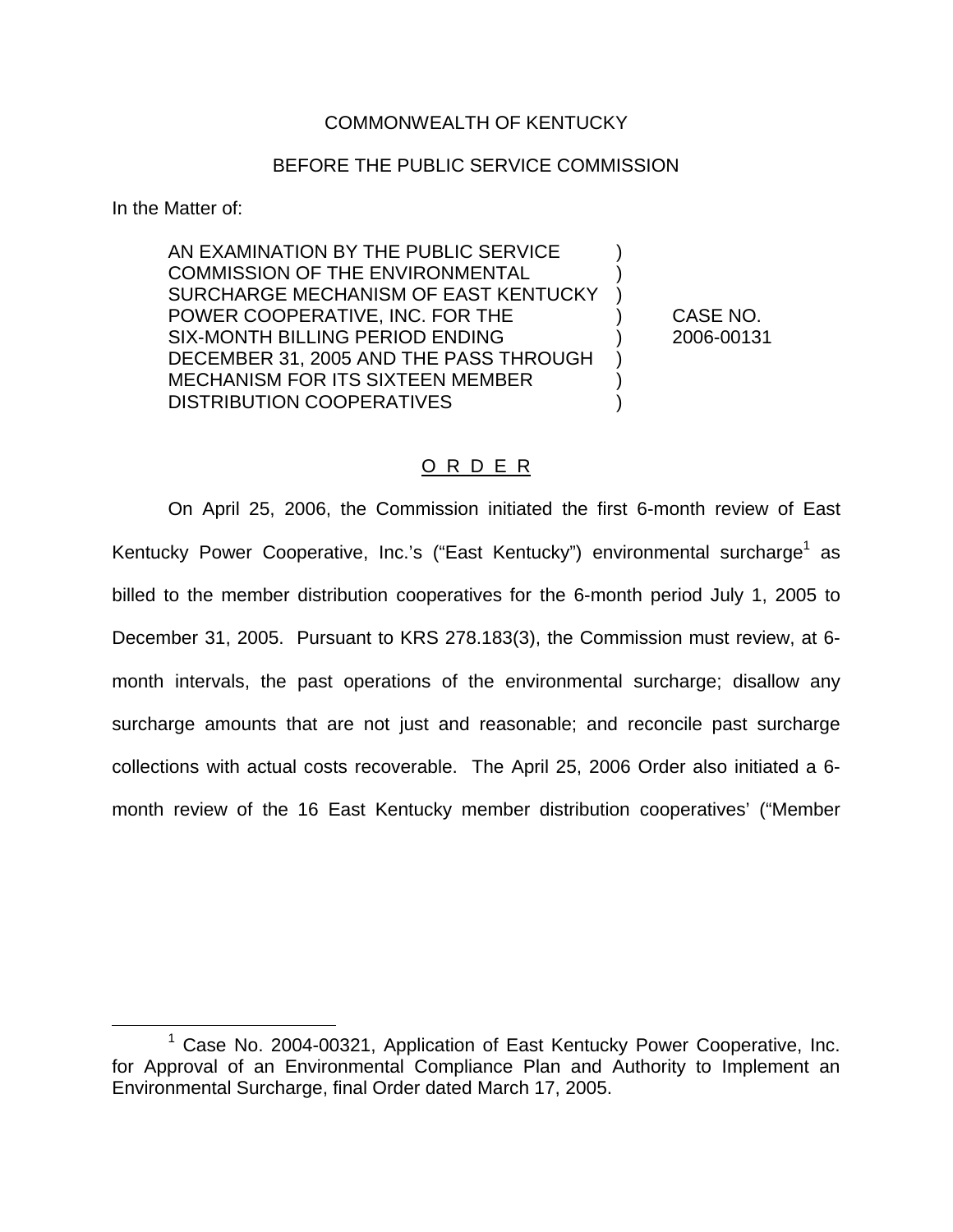### COMMONWEALTH OF KENTUCKY

#### BEFORE THE PUBLIC SERVICE COMMISSION

In the Matter of:

AN EXAMINATION BY THE PUBLIC SERVICE ) COMMISSION OF THE ENVIRONMENTAL SURCHARGE MECHANISM OF EAST KENTUCKY POWER COOPERATIVE, INC. FOR THE ) CASE NO. SIX-MONTH BILLING PERIOD ENDING (2006-00131 DECEMBER 31, 2005 AND THE PASS THROUGH ) MECHANISM FOR ITS SIXTEEN MEMBER ) DISTRIBUTION COOPERATIVES

#### O R D E R

On April 25, 2006, the Commission initiated the first 6-month review of East Kentucky Power Cooperative, Inc.'s ("East Kentucky") environmental surcharge<sup>1</sup> as billed to the member distribution cooperatives for the 6-month period July 1, 2005 to December 31, 2005. Pursuant to KRS 278.183(3), the Commission must review, at 6 month intervals, the past operations of the environmental surcharge; disallow any surcharge amounts that are not just and reasonable; and reconcile past surcharge collections with actual costs recoverable. The April 25, 2006 Order also initiated a 6 month review of the 16 East Kentucky member distribution cooperatives' ("Member

 $1$  Case No. 2004-00321, Application of East Kentucky Power Cooperative, Inc. for Approval of an Environmental Compliance Plan and Authority to Implement an Environmental Surcharge, final Order dated March 17, 2005.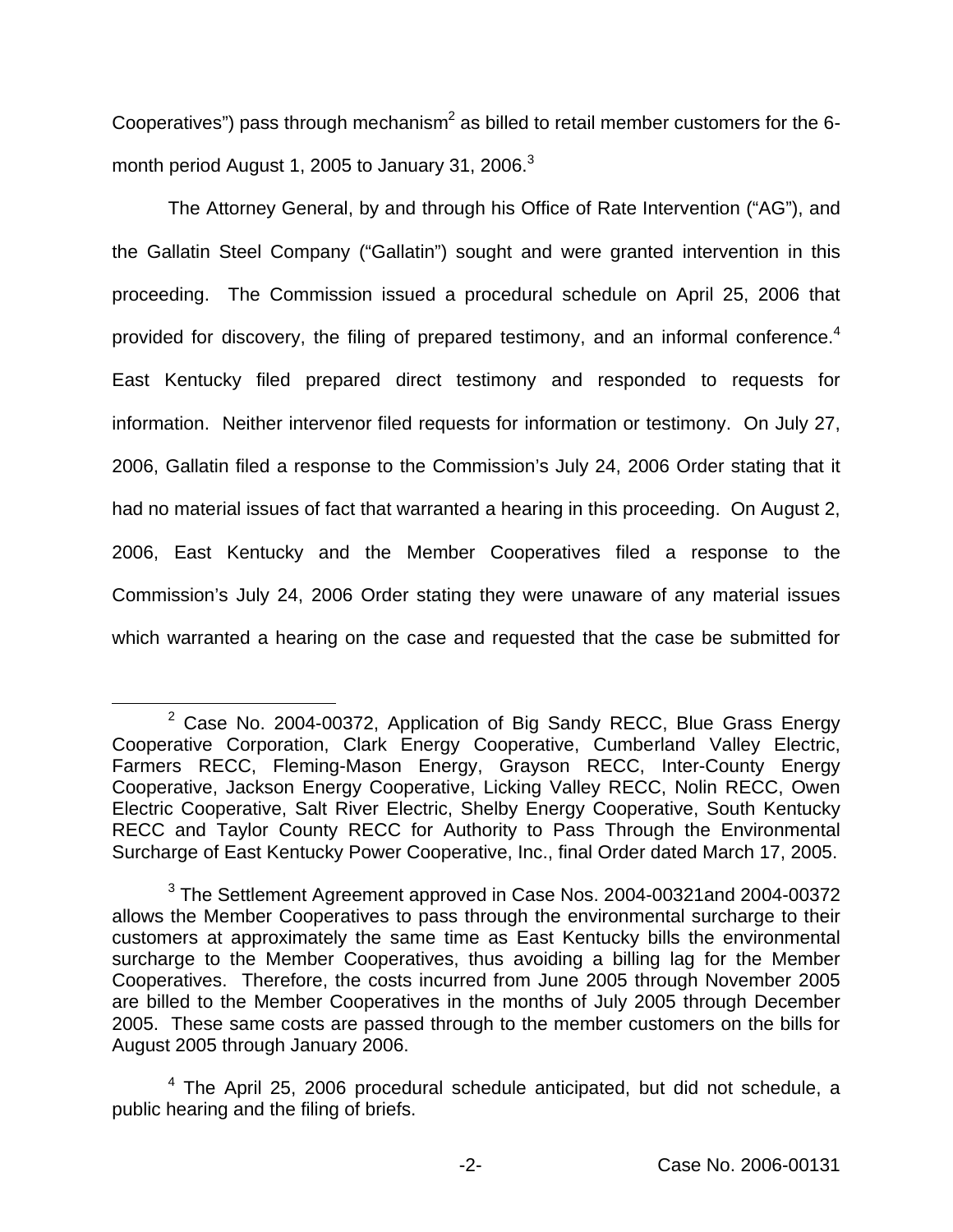Cooperatives") pass through mechanism<sup>2</sup> as billed to retail member customers for the 6month period August 1, 2005 to January 31, 2006.<sup>3</sup>

The Attorney General, by and through his Office of Rate Intervention ("AG"), and the Gallatin Steel Company ("Gallatin") sought and were granted intervention in this proceeding. The Commission issued a procedural schedule on April 25, 2006 that provided for discovery, the filing of prepared testimony, and an informal conference.<sup>4</sup> East Kentucky filed prepared direct testimony and responded to requests for information. Neither intervenor filed requests for information or testimony. On July 27, 2006, Gallatin filed a response to the Commission's July 24, 2006 Order stating that it had no material issues of fact that warranted a hearing in this proceeding. On August 2, 2006, East Kentucky and the Member Cooperatives filed a response to the Commission's July 24, 2006 Order stating they were unaware of any material issues which warranted a hearing on the case and requested that the case be submitted for

<sup>&</sup>lt;sup>2</sup> Case No. 2004-00372, Application of Big Sandy RECC, Blue Grass Energy Cooperative Corporation, Clark Energy Cooperative, Cumberland Valley Electric, Farmers RECC, Fleming-Mason Energy, Grayson RECC, Inter-County Energy Cooperative, Jackson Energy Cooperative, Licking Valley RECC, Nolin RECC, Owen Electric Cooperative, Salt River Electric, Shelby Energy Cooperative, South Kentucky RECC and Taylor County RECC for Authority to Pass Through the Environmental Surcharge of East Kentucky Power Cooperative, Inc., final Order dated March 17, 2005.

<sup>&</sup>lt;sup>3</sup> The Settlement Agreement approved in Case Nos. 2004-00321 and 2004-00372 allows the Member Cooperatives to pass through the environmental surcharge to their customers at approximately the same time as East Kentucky bills the environmental surcharge to the Member Cooperatives, thus avoiding a billing lag for the Member Cooperatives. Therefore, the costs incurred from June 2005 through November 2005 are billed to the Member Cooperatives in the months of July 2005 through December 2005. These same costs are passed through to the member customers on the bills for August 2005 through January 2006.

<sup>4</sup> The April 25, 2006 procedural schedule anticipated, but did not schedule, a public hearing and the filing of briefs.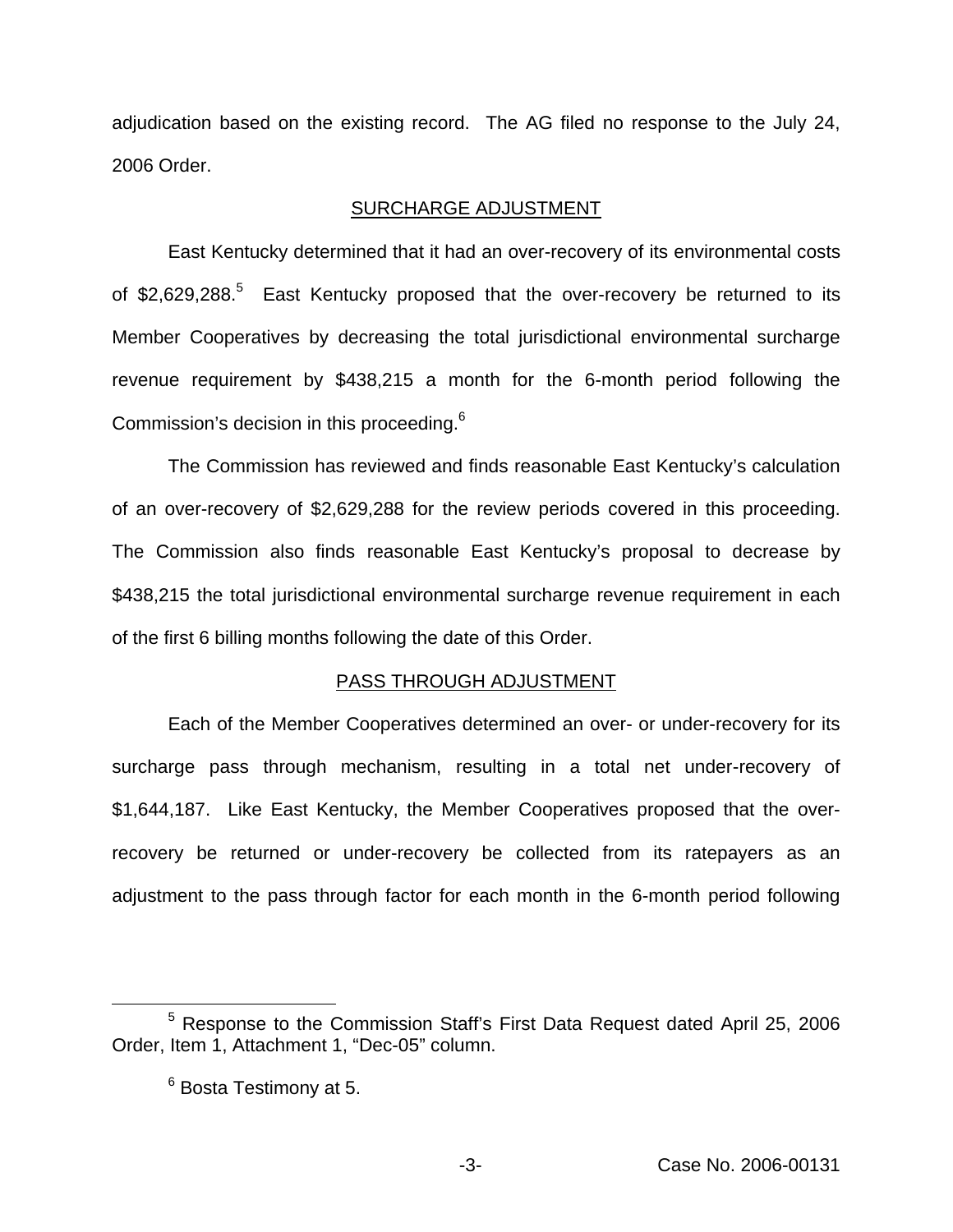adjudication based on the existing record. The AG filed no response to the July 24, 2006 Order.

### SURCHARGE ADJUSTMENT

East Kentucky determined that it had an over-recovery of its environmental costs of \$2,629,288.<sup>5</sup> East Kentucky proposed that the over-recovery be returned to its Member Cooperatives by decreasing the total jurisdictional environmental surcharge revenue requirement by \$438,215 a month for the 6-month period following the Commission's decision in this proceeding.6

The Commission has reviewed and finds reasonable East Kentucky's calculation of an over-recovery of \$2,629,288 for the review periods covered in this proceeding. The Commission also finds reasonable East Kentucky's proposal to decrease by \$438,215 the total jurisdictional environmental surcharge revenue requirement in each of the first 6 billing months following the date of this Order.

# PASS THROUGH ADJUSTMENT

Each of the Member Cooperatives determined an over- or under-recovery for its surcharge pass through mechanism, resulting in a total net under-recovery of \$1,644,187. Like East Kentucky, the Member Cooperatives proposed that the overrecovery be returned or under-recovery be collected from its ratepayers as an adjustment to the pass through factor for each month in the 6-month period following

<sup>5</sup> Response to the Commission Staff's First Data Request dated April 25, 2006 Order, Item 1, Attachment 1, "Dec-05" column.

<sup>6</sup> Bosta Testimony at 5.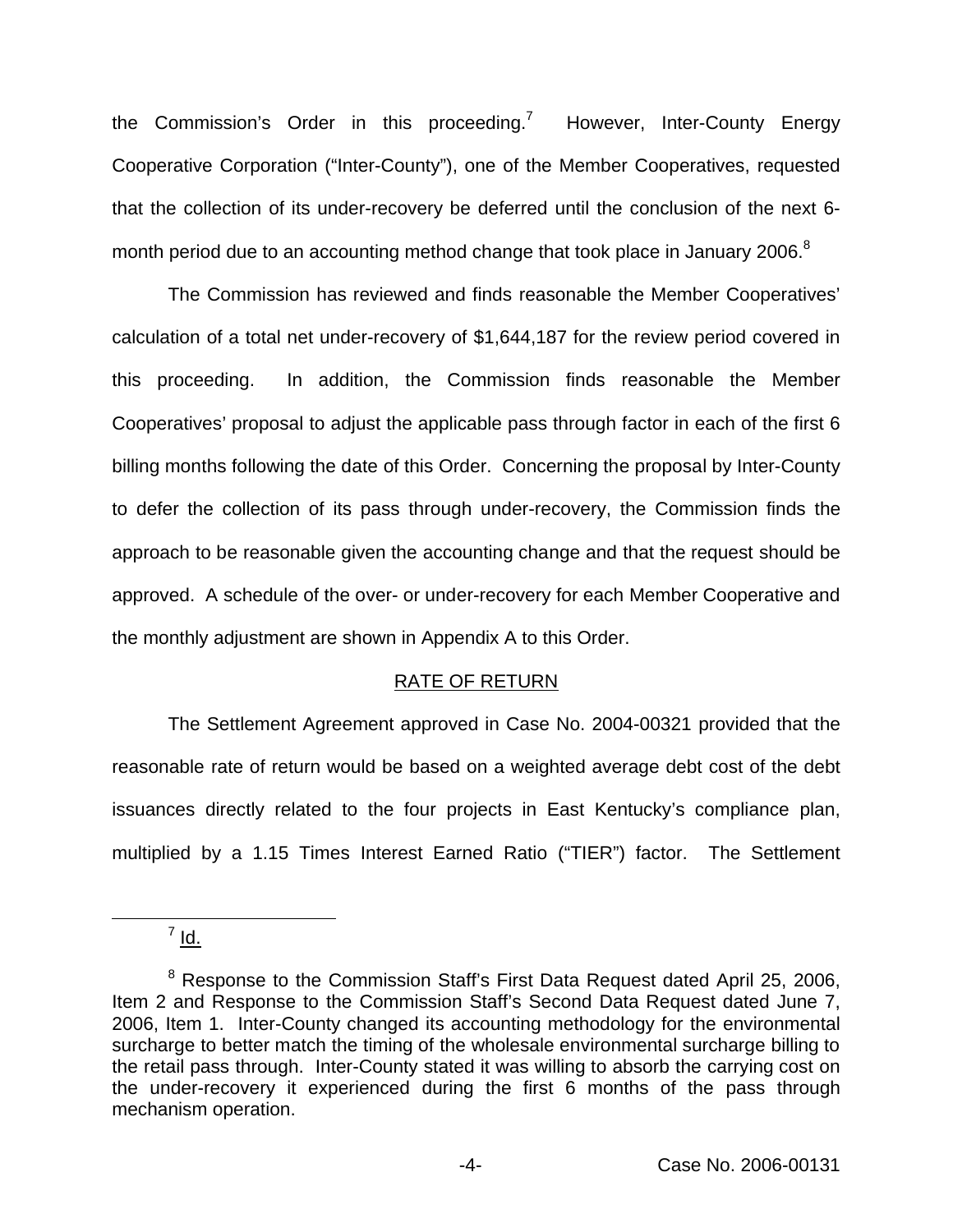the Commission's Order in this proceeding.<sup>7</sup> However, Inter-County Energy Cooperative Corporation ("Inter-County"), one of the Member Cooperatives, requested that the collection of its under-recovery be deferred until the conclusion of the next 6 month period due to an accounting method change that took place in January 2006.<sup>8</sup>

The Commission has reviewed and finds reasonable the Member Cooperatives' calculation of a total net under-recovery of \$1,644,187 for the review period covered in this proceeding. In addition, the Commission finds reasonable the Member Cooperatives' proposal to adjust the applicable pass through factor in each of the first 6 billing months following the date of this Order. Concerning the proposal by Inter-County to defer the collection of its pass through under-recovery, the Commission finds the approach to be reasonable given the accounting change and that the request should be approved. A schedule of the over- or under-recovery for each Member Cooperative and the monthly adjustment are shown in Appendix A to this Order.

# RATE OF RETURN

The Settlement Agreement approved in Case No. 2004-00321 provided that the reasonable rate of return would be based on a weighted average debt cost of the debt issuances directly related to the four projects in East Kentucky's compliance plan, multiplied by a 1.15 Times Interest Earned Ratio ("TIER") factor. The Settlement

 $7 \underline{Id}$ .

<sup>&</sup>lt;sup>8</sup> Response to the Commission Staff's First Data Request dated April 25, 2006, Item 2 and Response to the Commission Staff's Second Data Request dated June 7, 2006, Item 1. Inter-County changed its accounting methodology for the environmental surcharge to better match the timing of the wholesale environmental surcharge billing to the retail pass through. Inter-County stated it was willing to absorb the carrying cost on the under-recovery it experienced during the first 6 months of the pass through mechanism operation.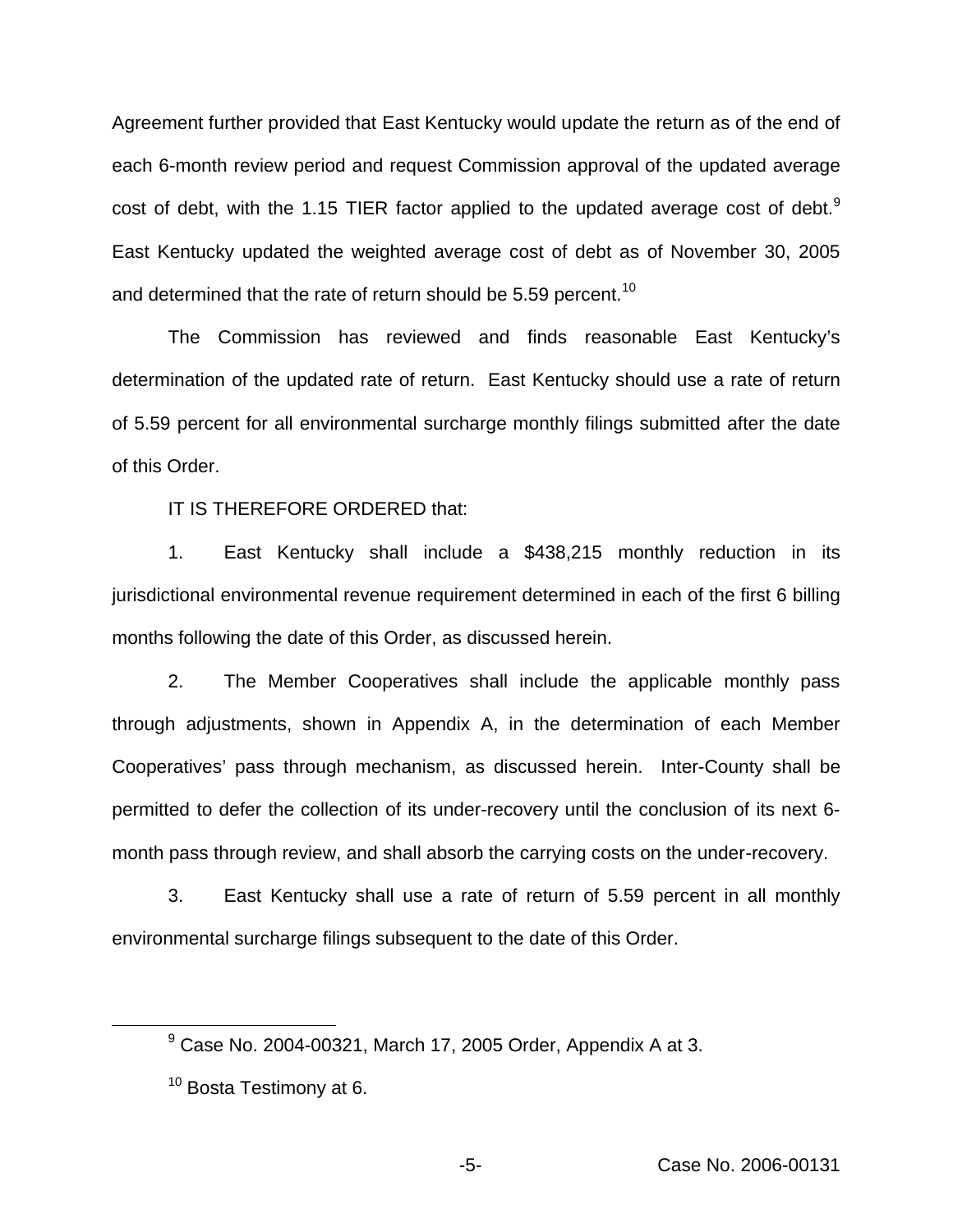Agreement further provided that East Kentucky would update the return as of the end of each 6-month review period and request Commission approval of the updated average cost of debt, with the 1.15 TIER factor applied to the updated average cost of debt.<sup>9</sup> East Kentucky updated the weighted average cost of debt as of November 30, 2005 and determined that the rate of return should be 5.59 percent.<sup>10</sup>

The Commission has reviewed and finds reasonable East Kentucky's determination of the updated rate of return. East Kentucky should use a rate of return of 5.59 percent for all environmental surcharge monthly filings submitted after the date of this Order.

IT IS THEREFORE ORDERED that:

1. East Kentucky shall include a \$438,215 monthly reduction in its jurisdictional environmental revenue requirement determined in each of the first 6 billing months following the date of this Order, as discussed herein.

2. The Member Cooperatives shall include the applicable monthly pass through adjustments, shown in Appendix A, in the determination of each Member Cooperatives' pass through mechanism, as discussed herein. Inter-County shall be permitted to defer the collection of its under-recovery until the conclusion of its next 6 month pass through review, and shall absorb the carrying costs on the under-recovery.

3. East Kentucky shall use a rate of return of 5.59 percent in all monthly environmental surcharge filings subsequent to the date of this Order.

 $9^9$  Case No. 2004-00321, March 17, 2005 Order, Appendix A at 3.

 $10$  Bosta Testimony at 6.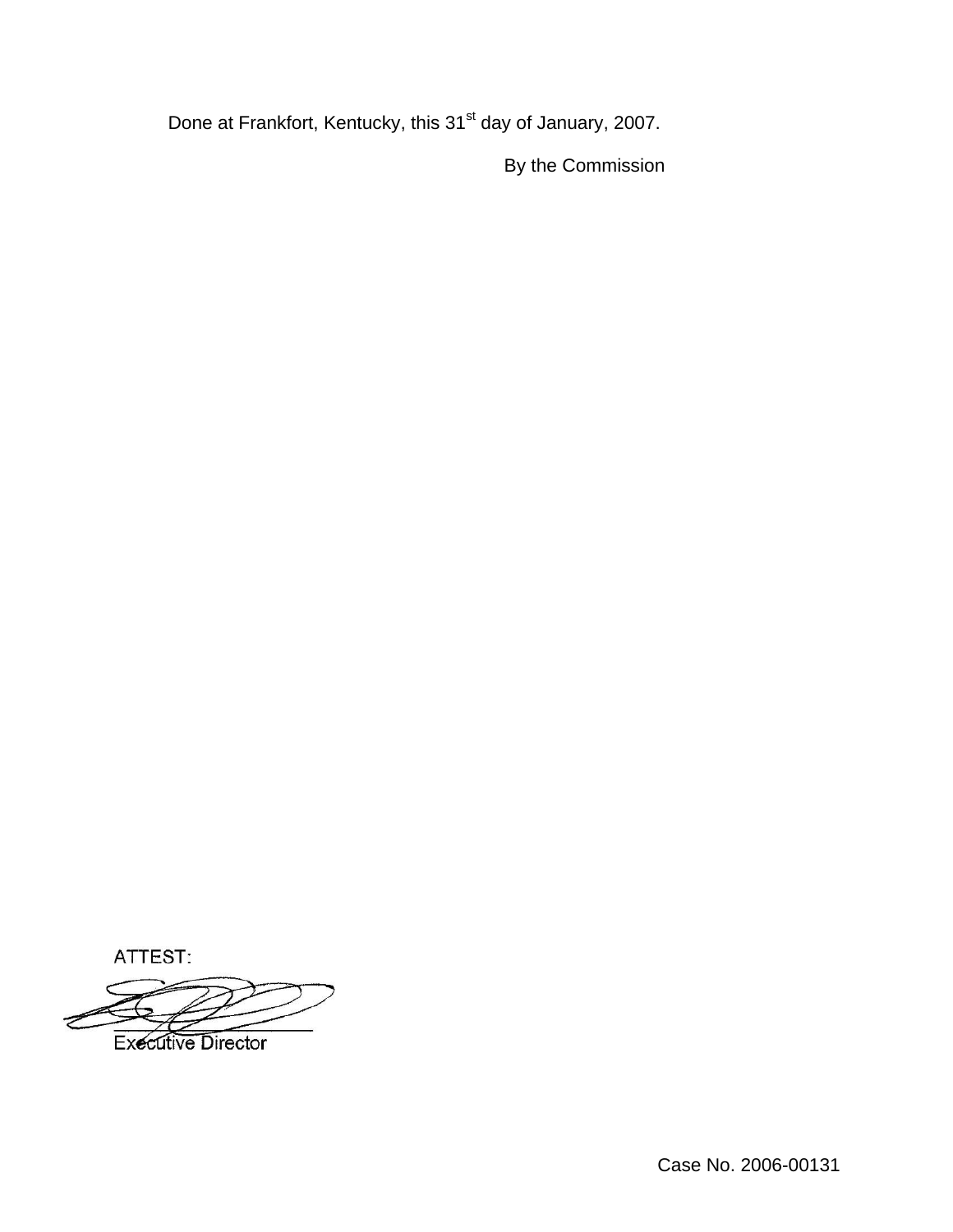Done at Frankfort, Kentucky, this 31<sup>st</sup> day of January, 2007.

By the Commission

ATTEST:

**Executive Director** 

Case No. 2006-00131